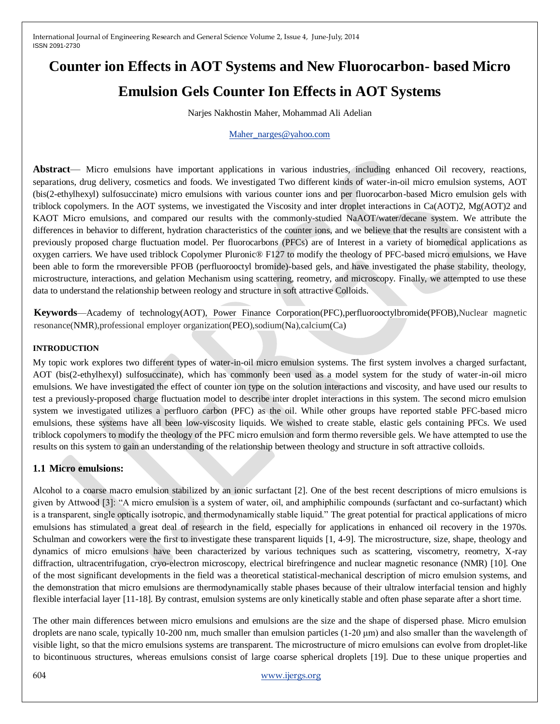# **Counter ion Effects in AOT Systems and New Fluorocarbon- based Micro Emulsion Gels Counter Ion Effects in AOT Systems**

Narjes Nakhostin Maher, Mohammad Ali Adelian

#### [Maher\\_narges@yahoo.com](mailto:Maher_narges@yahoo.com)

**Abstract**— Micro emulsions have important applications in various industries, including enhanced Oil recovery, reactions, separations, drug delivery, cosmetics and foods. We investigated Two different kinds of water-in-oil micro emulsion systems, AOT (bis(2-ethylhexyl) sulfosuccinate) micro emulsions with various counter ions and per fluorocarbon-based Micro emulsion gels with triblock copolymers. In the AOT systems, we investigated the Viscosity and inter droplet interactions in Ca(AOT)2, Mg(AOT)2 and KAOT Micro emulsions, and compared our results with the commonly-studied NaAOT/water/decane system. We attribute the differences in behavior to different, hydration characteristics of the counter ions, and we believe that the results are consistent with a previously proposed charge fluctuation model. Per fluorocarbons (PFCs) are of Interest in a variety of biomedical applications as oxygen carriers. We have used triblock Copolymer Pluronic® F127 to modify the theology of PFC-based micro emulsions, we Have been able to form the rmoreversible PFOB (perfluorooctyl bromide)-based gels, and have investigated the phase stability, theology, microstructure, interactions, and gelation Mechanism using scattering, reometry, and microscopy. Finally, we attempted to use these data to understand the relationship between reology and structure in soft attractive Colloids.

**Keywords**—Academy of technology(AOT), Power Finance Corporation(PFC),perfluorooctylbromide(PFOB),Nuclear magnetic resonance(NMR),professional employer organization(PEO),sodium(Na),calcium(Ca)

#### **INTRODUCTION**

My topic work explores two different types of water-in-oil micro emulsion systems. The first system involves a charged surfactant, AOT (bis(2-ethylhexyl) sulfosuccinate), which has commonly been used as a model system for the study of water-in-oil micro emulsions. We have investigated the effect of counter ion type on the solution interactions and viscosity, and have used our results to test a previously-proposed charge fluctuation model to describe inter droplet interactions in this system. The second micro emulsion system we investigated utilizes a perfluoro carbon (PFC) as the oil. While other groups have reported stable PFC-based micro emulsions, these systems have all been low-viscosity liquids. We wished to create stable, elastic gels containing PFCs. We used triblock copolymers to modify the theology of the PFC micro emulsion and form thermo reversible gels. We have attempted to use the results on this system to gain an understanding of the relationship between theology and structure in soft attractive colloids.

#### **1.1 Micro emulsions:**

Alcohol to a coarse macro emulsion stabilized by an ionic surfactant [2]. One of the best recent descriptions of micro emulsions is given by Attwood [3]: "A micro emulsion is a system of water, oil, and amphiphilic compounds (surfactant and co-surfactant) which is a transparent, single optically isotropic, and thermodynamically stable liquid." The great potential for practical applications of micro emulsions has stimulated a great deal of research in the field, especially for applications in enhanced oil recovery in the 1970s. Schulman and coworkers were the first to investigate these transparent liquids [1, 4-9]. The microstructure, size, shape, theology and dynamics of micro emulsions have been characterized by various techniques such as scattering, viscometry, reometry, X-ray diffraction, ultracentrifugation, cryo-electron microscopy, electrical birefringence and nuclear magnetic resonance (NMR) [10]. One of the most significant developments in the field was a theoretical statistical-mechanical description of micro emulsion systems, and the demonstration that micro emulsions are thermodynamically stable phases because of their ultralow interfacial tension and highly flexible interfacial layer [11-18]. By contrast, emulsion systems are only kinetically stable and often phase separate after a short time.

The other main differences between micro emulsions and emulsions are the size and the shape of dispersed phase. Micro emulsion droplets are nano scale, typically 10-200 nm, much smaller than emulsion particles (1-20 μm) and also smaller than the wavelength of visible light, so that the micro emulsions systems are transparent. The microstructure of micro emulsions can evolve from droplet-like to bicontinuous structures, whereas emulsions consist of large coarse spherical droplets [19]. Due to these unique properties and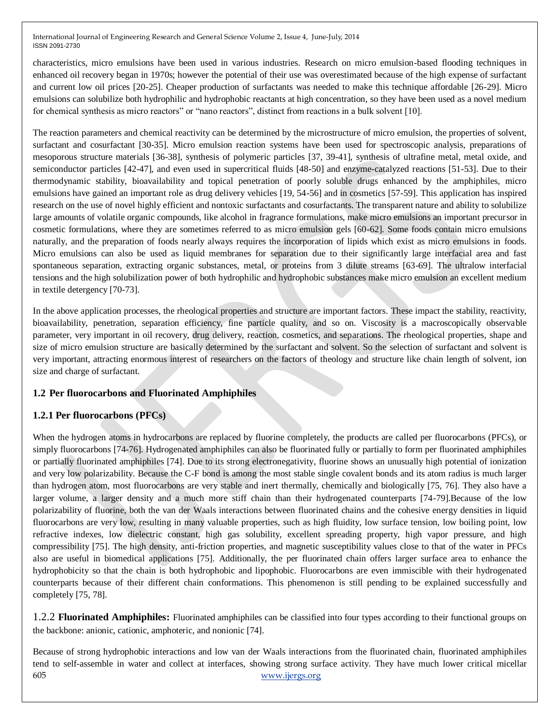characteristics, micro emulsions have been used in various industries. Research on micro emulsion-based flooding techniques in enhanced oil recovery began in 1970s; however the potential of their use was overestimated because of the high expense of surfactant and current low oil prices [20-25]. Cheaper production of surfactants was needed to make this technique affordable [26-29]. Micro emulsions can solubilize both hydrophilic and hydrophobic reactants at high concentration, so they have been used as a novel medium for chemical synthesis as micro reactors" or "nano reactors", distinct from reactions in a bulk solvent [10].

The reaction parameters and chemical reactivity can be determined by the microstructure of micro emulsion, the properties of solvent, surfactant and cosurfactant [30-35]. Micro emulsion reaction systems have been used for spectroscopic analysis, preparations of mesoporous structure materials [36-38], synthesis of polymeric particles [37, 39-41], synthesis of ultrafine metal, metal oxide, and semiconductor particles [42-47], and even used in supercritical fluids [48-50] and enzyme-catalyzed reactions [51-53]. Due to their thermodynamic stability, bioavailability and topical penetration of poorly soluble drugs enhanced by the amphiphiles, micro emulsions have gained an important role as drug delivery vehicles [19, 54-56] and in cosmetics [57-59]. This application has inspired research on the use of novel highly efficient and nontoxic surfactants and cosurfactants. The transparent nature and ability to solubilize large amounts of volatile organic compounds, like alcohol in fragrance formulations, make micro emulsions an important precursor in cosmetic formulations, where they are sometimes referred to as micro emulsion gels [60-62]. Some foods contain micro emulsions naturally, and the preparation of foods nearly always requires the incorporation of lipids which exist as micro emulsions in foods. Micro emulsions can also be used as liquid membranes for separation due to their significantly large interfacial area and fast spontaneous separation, extracting organic substances, metal, or proteins from 3 dilute streams [63-69]. The ultralow interfacial tensions and the high solubilization power of both hydrophilic and hydrophobic substances make micro emulsion an excellent medium in textile detergency [70-73].

In the above application processes, the rheological properties and structure are important factors. These impact the stability, reactivity, bioavailability, penetration, separation efficiency, fine particle quality, and so on. Viscosity is a macroscopically observable parameter, very important in oil recovery, drug delivery, reaction, cosmetics, and separations. The rheological properties, shape and size of micro emulsion structure are basically determined by the surfactant and solvent. So the selection of surfactant and solvent is very important, attracting enormous interest of researchers on the factors of theology and structure like chain length of solvent, ion size and charge of surfactant.

# **1.2 Per fluorocarbons and Fluorinated Amphiphiles**

# **1.2.1 Per fluorocarbons (PFCs)**

When the hydrogen atoms in hydrocarbons are replaced by fluorine completely, the products are called per fluorocarbons (PFCs), or simply fluorocarbons [74-76]. Hydrogenated amphiphiles can also be fluorinated fully or partially to form per fluorinated amphiphiles or partially fluorinated amphiphiles [74]. Due to its strong electronegativity, fluorine shows an unusually high potential of ionization and very low polarizability. Because the C-F bond is among the most stable single covalent bonds and its atom radius is much larger than hydrogen atom, most fluorocarbons are very stable and inert thermally, chemically and biologically [75, 76]. They also have a larger volume, a larger density and a much more stiff chain than their hydrogenated counterparts [74-79].Because of the low polarizability of fluorine, both the van der Waals interactions between fluorinated chains and the cohesive energy densities in liquid fluorocarbons are very low, resulting in many valuable properties, such as high fluidity, low surface tension, low boiling point, low refractive indexes, low dielectric constant, high gas solubility, excellent spreading property, high vapor pressure, and high compressibility [75]. The high density, anti-friction properties, and magnetic susceptibility values close to that of the water in PFCs also are useful in biomedical applications [75]. Additionally, the per fluorinated chain offers larger surface area to enhance the hydrophobicity so that the chain is both hydrophobic and lipophobic. Fluorocarbons are even immiscible with their hydrogenated counterparts because of their different chain conformations. This phenomenon is still pending to be explained successfully and completely [75, 78].

1.2.2 **Fluorinated Amphiphiles:** Fluorinated amphiphiles can be classified into four types according to their functional groups on the backbone: anionic, cationic, amphoteric, and nonionic [74].

605 [www.ijergs.org](http://www.ijergs.org/) Because of strong hydrophobic interactions and low van der Waals interactions from the fluorinated chain, fluorinated amphiphiles tend to self-assemble in water and collect at interfaces, showing strong surface activity. They have much lower critical micellar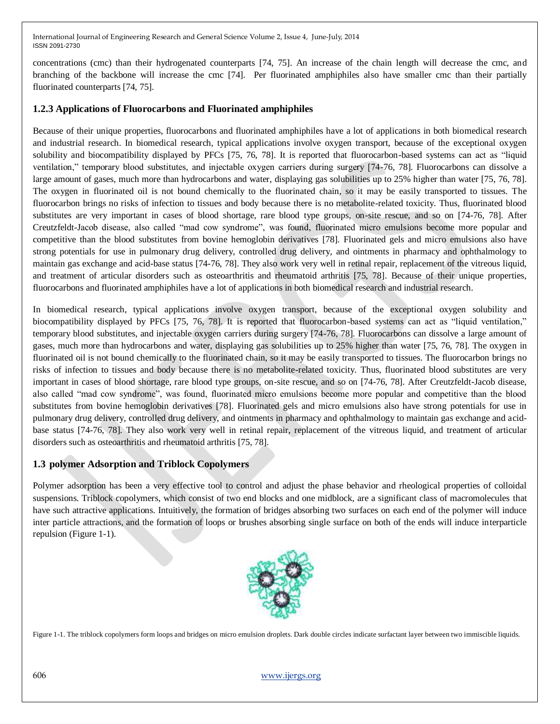concentrations (cmc) than their hydrogenated counterparts [74, 75]. An increase of the chain length will decrease the cmc, and branching of the backbone will increase the cmc [74]. Per fluorinated amphiphiles also have smaller cmc than their partially fluorinated counterparts [74, 75].

# **1.2.3 Applications of Fluorocarbons and Fluorinated amphiphiles**

Because of their unique properties, fluorocarbons and fluorinated amphiphiles have a lot of applications in both biomedical research and industrial research. In biomedical research, typical applications involve oxygen transport, because of the exceptional oxygen solubility and biocompatibility displayed by PFCs [75, 76, 78]. It is reported that fluorocarbon-based systems can act as "liquid ventilation," temporary blood substitutes, and injectable oxygen carriers during surgery [74-76, 78]. Fluorocarbons can dissolve a large amount of gases, much more than hydrocarbons and water, displaying gas solubilities up to 25% higher than water [75, 76, 78]. The oxygen in fluorinated oil is not bound chemically to the fluorinated chain, so it may be easily transported to tissues. The fluorocarbon brings no risks of infection to tissues and body because there is no metabolite-related toxicity. Thus, fluorinated blood substitutes are very important in cases of blood shortage, rare blood type groups, on-site rescue, and so on [74-76, 78]. After Creutzfeldt-Jacob disease, also called "mad cow syndrome", was found, fluorinated micro emulsions become more popular and competitive than the blood substitutes from bovine hemoglobin derivatives [78]. Fluorinated gels and micro emulsions also have strong potentials for use in pulmonary drug delivery, controlled drug delivery, and ointments in pharmacy and ophthalmology to maintain gas exchange and acid-base status [74-76, 78]. They also work very well in retinal repair, replacement of the vitreous liquid, and treatment of articular disorders such as osteoarthritis and rheumatoid arthritis [75, 78]. Because of their unique properties, fluorocarbons and fluorinated amphiphiles have a lot of applications in both biomedical research and industrial research.

In biomedical research, typical applications involve oxygen transport, because of the exceptional oxygen solubility and biocompatibility displayed by PFCs [75, 76, 78]. It is reported that fluorocarbon-based systems can act as "liquid ventilation," temporary blood substitutes, and injectable oxygen carriers during surgery [74-76, 78]. Fluorocarbons can dissolve a large amount of gases, much more than hydrocarbons and water, displaying gas solubilities up to 25% higher than water [75, 76, 78]. The oxygen in fluorinated oil is not bound chemically to the fluorinated chain, so it may be easily transported to tissues. The fluorocarbon brings no risks of infection to tissues and body because there is no metabolite-related toxicity. Thus, fluorinated blood substitutes are very important in cases of blood shortage, rare blood type groups, on-site rescue, and so on [74-76, 78]. After Creutzfeldt-Jacob disease, also called "mad cow syndrome", was found, fluorinated micro emulsions become more popular and competitive than the blood substitutes from bovine hemoglobin derivatives [78]. Fluorinated gels and micro emulsions also have strong potentials for use in pulmonary drug delivery, controlled drug delivery, and ointments in pharmacy and ophthalmology to maintain gas exchange and acidbase status [74-76, 78]. They also work very well in retinal repair, replacement of the vitreous liquid, and treatment of articular disorders such as osteoarthritis and rheumatoid arthritis [75, 78].

# **1.3 polymer Adsorption and Triblock Copolymers**

Polymer adsorption has been a very effective tool to control and adjust the phase behavior and rheological properties of colloidal suspensions. Triblock copolymers, which consist of two end blocks and one midblock, are a significant class of macromolecules that have such attractive applications. Intuitively, the formation of bridges absorbing two surfaces on each end of the polymer will induce inter particle attractions, and the formation of loops or brushes absorbing single surface on both of the ends will induce interparticle repulsion (Figure 1-1).



Figure 1-1. The triblock copolymers form loops and bridges on micro emulsion droplets. Dark double circles indicate surfactant layer between two immiscible liquids.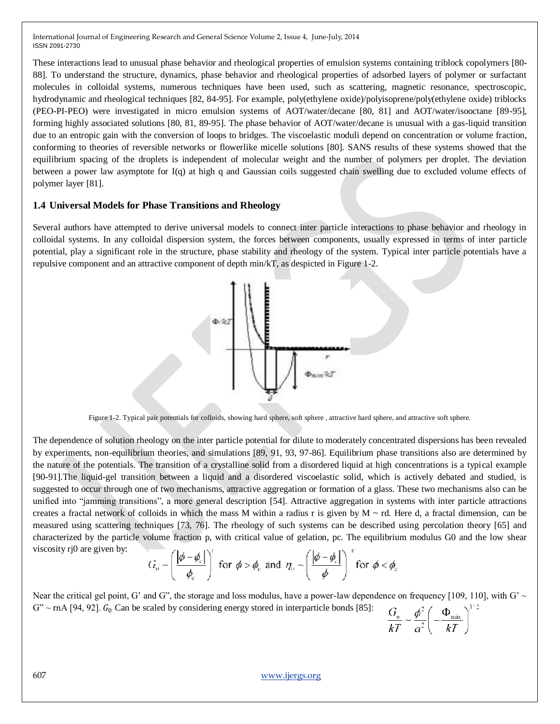These interactions lead to unusual phase behavior and rheological properties of emulsion systems containing triblock copolymers [80- 88]. To understand the structure, dynamics, phase behavior and rheological properties of adsorbed layers of polymer or surfactant molecules in colloidal systems, numerous techniques have been used, such as scattering, magnetic resonance, spectroscopic, hydrodynamic and rheological techniques [82, 84-95]. For example, poly(ethylene oxide)/polyisoprene/poly(ethylene oxide) triblocks (PEO-PI-PEO) were investigated in micro emulsion systems of AOT/water/decane [80, 81] and AOT/water/isooctane [89-95], forming highly associated solutions [80, 81, 89-95]. The phase behavior of AOT/water/decane is unusual with a gas-liquid transition due to an entropic gain with the conversion of loops to bridges. The viscoelastic moduli depend on concentration or volume fraction, conforming to theories of reversible networks or flowerlike micelle solutions [80]. SANS results of these systems showed that the equilibrium spacing of the droplets is independent of molecular weight and the number of polymers per droplet. The deviation between a power law asymptote for I(q) at high q and Gaussian coils suggested chain swelling due to excluded volume effects of polymer layer [81].

## **1.4 Universal Models for Phase Transitions and Rheology**

Several authors have attempted to derive universal models to connect inter particle interactions to phase behavior and rheology in colloidal systems. In any colloidal dispersion system, the forces between components, usually expressed in terms of inter particle potential, play a significant role in the structure, phase stability and rheology of the system. Typical inter particle potentials have a repulsive component and an attractive component of depth min/kT, as despicted in Figure 1-2.



Figure 1-2. Typical pair potentials for colloids, showing hard sphere, soft sphere , attractive hard sphere, and attractive soft sphere.

The dependence of solution rheology on the inter particle potential for dilute to moderately concentrated dispersions has been revealed by experiments, non-equilibrium theories, and simulations [89, 91, 93, 97-86]. Equilibrium phase transitions also are determined by the nature of the potentials. The transition of a crystalline solid from a disordered liquid at high concentrations is a typical example [90-91].The liquid-gel transition between a liquid and a disordered viscoelastic solid, which is actively debated and studied, is suggested to occur through one of two mechanisms, attractive aggregation or formation of a glass. These two mechanisms also can be unified into "jamming transitions", a more general description [54]. Attractive aggregation in systems with inter particle attractions creates a fractal network of colloids in which the mass M within a radius r is given by  $M \sim rd$ . Here d, a fractal dimension, can be measured using scattering techniques [73, 76]. The rheology of such systems can be described using percolation theory [65] and characterized by the particle volume fraction p, with critical value of gelation, pc. The equilibrium modulus G0 and the low shear viscosity rj0 are given by:

$$
G_{\alpha} \sim \left(\frac{|\phi - \phi_{\rm c}|}{\phi_{\rm c}}\right)^{\prime} \text{ for } \phi > \phi_{\rm c} \text{ and } \eta_{\alpha} \sim \left(\frac{|\phi - \phi_{\rm c}|}{\phi}\right)^{s} \text{ for } \phi < \phi_{\rm c}
$$

Near the critical gel point, G' and G", the storage and loss modulus, have a power-law dependence on frequency [109, 110], with G'  $\sim$  $G'' \sim rnA$  [94, 92].  $G_0$  Can be scaled by considering energy stored in interparticle bonds [85]:  $\alpha$  $\lambda^2$  (  $\Delta$  )  $N^{3/2}$ 

$$
\frac{G_o}{kT} \sim \frac{\varphi}{a^2} \left( -\frac{\Phi_{\min}}{kT} \right)
$$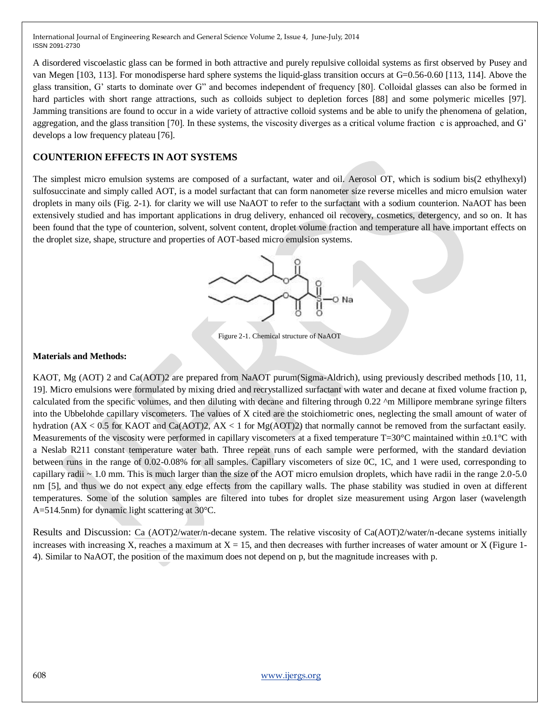A disordered viscoelastic glass can be formed in both attractive and purely repulsive colloidal systems as first observed by Pusey and van Megen [103, 113]. For monodisperse hard sphere systems the liquid-glass transition occurs at G=0.56-0.60 [113, 114]. Above the glass transition, G' starts to dominate over G" and becomes independent of frequency [80]. Colloidal glasses can also be formed in hard particles with short range attractions, such as colloids subject to depletion forces [88] and some polymeric micelles [97]. Jamming transitions are found to occur in a wide variety of attractive colloid systems and be able to unify the phenomena of gelation, aggregation, and the glass transition [70]. In these systems, the viscosity diverges as a critical volume fraction c is approached, and G' develops a low frequency plateau [76].

## **COUNTERION EFFECTS IN AOT SYSTEMS**

The simplest micro emulsion systems are composed of a surfactant, water and oil. Aerosol OT, which is sodium bis(2 ethylhexyl) sulfosuccinate and simply called AOT, is a model surfactant that can form nanometer size reverse micelles and micro emulsion water droplets in many oils (Fig. 2-1). for clarity we will use NaAOT to refer to the surfactant with a sodium counterion. NaAOT has been extensively studied and has important applications in drug delivery, enhanced oil recovery, cosmetics, detergency, and so on. It has been found that the type of counterion, solvent, solvent content, droplet volume fraction and temperature all have important effects on the droplet size, shape, structure and properties of AOT-based micro emulsion systems.



Figure 2-1. Chemical structure of NaAOT

#### **Materials and Methods:**

KAOT, Mg (AOT) 2 and Ca(AOT)2 are prepared from NaAOT purum(Sigma-Aldrich), using previously described methods [10, 11, 19]. Micro emulsions were formulated by mixing dried and recrystallized surfactant with water and decane at fixed volume fraction p, calculated from the specific volumes, and then diluting with decane and filtering through 0.22 ^m Millipore membrane syringe filters into the Ubbelohde capillary viscometers. The values of X cited are the stoichiometric ones, neglecting the small amount of water of hydration (AX < 0.5 for KAOT and Ca(AOT)2, AX < 1 for Mg(AOT)2) that normally cannot be removed from the surfactant easily. Measurements of the viscosity were performed in capillary viscometers at a fixed temperature T=30°C maintained within  $\pm 0.1$ °C with a Neslab R211 constant temperature water bath. Three repeat runs of each sample were performed, with the standard deviation between runs in the range of 0.02-0.08% for all samples. Capillary viscometers of size 0C, 1C, and 1 were used, corresponding to capillary radii  $\sim 1.0$  mm. This is much larger than the size of the AOT micro emulsion droplets, which have radii in the range 2.0-5.0 nm [5], and thus we do not expect any edge effects from the capillary walls. The phase stability was studied in oven at different temperatures. Some of the solution samples are filtered into tubes for droplet size measurement using Argon laser (wavelength A=514.5nm) for dynamic light scattering at 30°C.

Results and Discussion: Ca (AOT)2/water/n-decane system. The relative viscosity of Ca(AOT)2/water/n-decane systems initially increases with increasing X, reaches a maximum at  $X = 15$ , and then decreases with further increases of water amount or X (Figure 1-4). Similar to NaAOT, the position of the maximum does not depend on p, but the magnitude increases with p.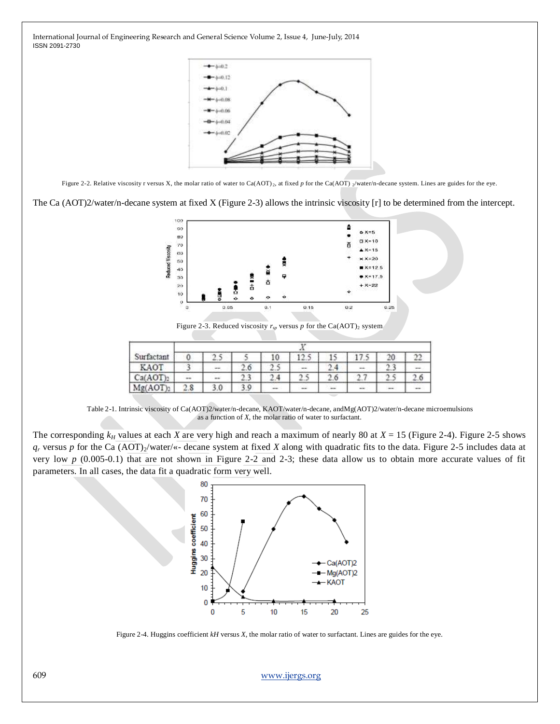

Figure 2-2. Relative viscosity r versus X, the molar ratio of water to Ca(AOT)<sub>2</sub>, at fixed *p* for the Ca(AOT)  $\gamma$ /water/n-decane system. Lines are guides for the eye.

The Ca (AOT)2/water/n-decane system at fixed X (Figure 2-3) allows the intrinsic viscosity [r] to be determined from the intercept.



Figure 2-3. Reduced viscosity  $r_{sp}$  versus  $p$  for the Ca(AOT)<sub>2</sub> system

| Surfactant  | $\tau$<br>۰۰ |          |     |                          |               |        |                   |                     |                                                                                                |
|-------------|--------------|----------|-----|--------------------------|---------------|--------|-------------------|---------------------|------------------------------------------------------------------------------------------------|
|             | υ            |          |     | 10                       |               |        |                   | 20                  | $\mathcal{P}$<br>--                                                                            |
| KAOT        |              | $\cdots$ |     | ÷                        | $\cdots$      | ÷.     | -                 | ۰.<br><b>ME'L M</b> | $\sim$                                                                                         |
| $Ca(AOT)_2$ | $^{**}$      | $-1$     |     |                          | n.<br>e       |        |                   |                     |                                                                                                |
| AOT<br>'n   | 2.8          | 3.0      | 3.9 | $\overline{\phantom{a}}$ | $\frac{1}{2}$ | $\sim$ | <b>STATISTICS</b> | <b>Commercial</b>   | $\frac{1}{2} \left( \frac{1}{2} \right) \left( \frac{1}{2} \right) \left( \frac{1}{2} \right)$ |

Table 2-1. Intrinsic viscosity of Ca(AOT)2/water/n-decane, KAOT/water/n-decane, andMg(AOT)2/water/n-decane microemulsions as a function of *X*, the molar ratio of water to surfactant.

The corresponding  $k_H$  values at each *X* are very high and reach a maximum of nearly 80 at  $X = 15$  (Figure 2-4). Figure 2-5 shows  $q_r$  versus p for the Ca (AOT)<sub>2</sub>/water/«- decane system at fixed *X* along with quadratic fits to the data. Figure 2-5 includes data at very low *p* (0.005-0.1) that are not shown in Figure 2-2 and 2-3; these data allow us to obtain more accurate values of fit parameters. In all cases, the data fit a quadratic form very well.



Figure 2-4. Huggins coefficient *kH* versus *X*, the molar ratio of water to surfactant. Lines are guides for the eye.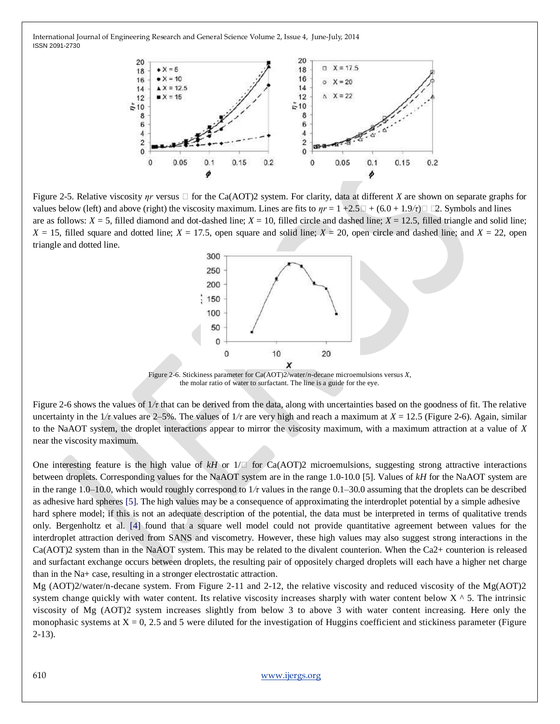

Figure 2-5. Relative viscosity  $\eta r$  versus  $\Box$  for the Ca(AOT)2 system. For clarity, data at different *X* are shown on separate graphs for values below (left) and above (right) the viscosity maximum. Lines are fits to  $\eta r = 1 + 2.5\Box + (6.0 + 1.9/\tau)\Box$  2. Symbols and lines are as follows:  $X = 5$ , filled diamond and dot-dashed line;  $X = 10$ , filled circle and dashed line;  $X = 12.5$ , filled triangle and solid line;  $X = 15$ , filled square and dotted line;  $X = 17.5$ , open square and solid line;  $X = 20$ , open circle and dashed line; and  $X = 22$ , open triangle and dotted line.



Figure 2-6. Stickiness parameter for Ca(AOT)2/water/*n*-decane microemulsions versus *X*, the molar ratio of water to surfactant. The line is a guide for the eye.

Figure 2-6 shows the values of 1*/τ* that can be derived from the data, along with uncertainties based on the goodness of fit. The relative uncertainty in the  $1/\tau$  values are 2–5%. The values of  $1/\tau$  are very high and reach a maximum at  $X = 12.5$  (Figure 2-6). Again, similar to the NaAOT system, the droplet interactions appear to mirror the viscosity maximum, with a maximum attraction at a value of *X*  near the viscosity maximum.

One interesting feature is the high value of  $kH$  or  $1/\Box$  for Ca(AOT)2 microemulsions, suggesting strong attractive interactions between droplets. Corresponding values for the NaAOT system are in the range 1.0-10.0 [5]. Values of *kH* for the NaAOT system are in the range 1.0–10.0, which would roughly correspond to 1*/τ* values in the range 0.1–30.0 assuming that the droplets can be described as adhesive hard spheres [5]. The high values may be a consequence of approximating the interdroplet potential by a simple adhesive hard sphere model; if this is not an adequate description of the potential, the data must be interpreted in terms of qualitative trends only. Bergenholtz et al. [4] found that a square well model could not provide quantitative agreement between values for the interdroplet attraction derived from SANS and viscometry. However, these high values may also suggest strong interactions in the Ca(AOT)2 system than in the NaAOT system. This may be related to the divalent counterion. When the Ca2+ counterion is released and surfactant exchange occurs between droplets, the resulting pair of oppositely charged droplets will each have a higher net charge than in the Na+ case, resulting in a stronger electrostatic attraction.

Mg (AOT)2/water/n-decane system. From Figure 2-11 and 2-12, the relative viscosity and reduced viscosity of the Mg(AOT)2 system change quickly with water content. Its relative viscosity increases sharply with water content below  $X \wedge 5$ . The intrinsic viscosity of Mg (AOT)2 system increases slightly from below 3 to above 3 with water content increasing. Here only the monophasic systems at  $X = 0$ , 2.5 and 5 were diluted for the investigation of Huggins coefficient and stickiness parameter (Figure 2-13).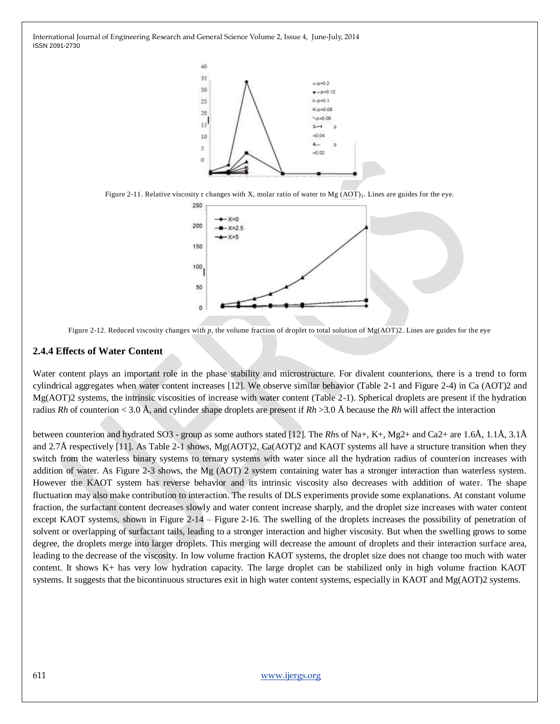





Figure 2-12. Reduced viscosity changes with p, the volume fraction of droplet to total solution of Mg(AOT)2. Lines are guides for the eye

## **2.4.4 Effects of Water Content**

Water content plays an important role in the phase stability and microstructure. For divalent counterions, there is a trend to form cylindrical aggregates when water content increases [12]. We observe similar behavior (Table 2-1 and Figure 2-4) in Ca (AOT)2 and Mg(AOT)2 systems, the intrinsic viscosities of increase with water content (Table 2-1). Spherical droplets are present if the hydration radius *Rh* of counterion < 3.0 Å, and cylinder shape droplets are present if *Rh* >3.0 Å because the *Rh* will affect the interaction

between counterion and hydrated SO3 - group as some authors stated [12]. The *Rh*s of Na+, K+, Mg2+ and Ca2+ are 1.6Å, 1.1Å, 3.1Å and 2.7Å respectively [11]. As Table 2-1 shows, Mg(AOT)2, Ca(AOT)2 and KAOT systems all have a structure transition when they switch from the waterless binary systems to ternary systems with water since all the hydration radius of counterion increases with addition of water. As Figure 2-3 shows, the Mg (AOT) 2 system containing water has a stronger interaction than waterless system. However the KAOT system has reverse behavior and its intrinsic viscosity also decreases with addition of water. The shape fluctuation may also make contribution to interaction. The results of DLS experiments provide some explanations. At constant volume fraction, the surfactant content decreases slowly and water content increase sharply, and the droplet size increases with water content except KAOT systems, shown in Figure 2-14 – Figure 2-16. The swelling of the droplets increases the possibility of penetration of solvent or overlapping of surfactant tails, leading to a stronger interaction and higher viscosity. But when the swelling grows to some degree, the droplets merge into larger droplets. This merging will decrease the amount of droplets and their interaction surface area, leading to the decrease of the viscosity. In low volume fraction KAOT systems, the droplet size does not change too much with water content. It shows K+ has very low hydration capacity. The large droplet can be stabilized only in high volume fraction KAOT systems. It suggests that the bicontinuous structures exit in high water content systems, especially in KAOT and Mg(AOT)2 systems.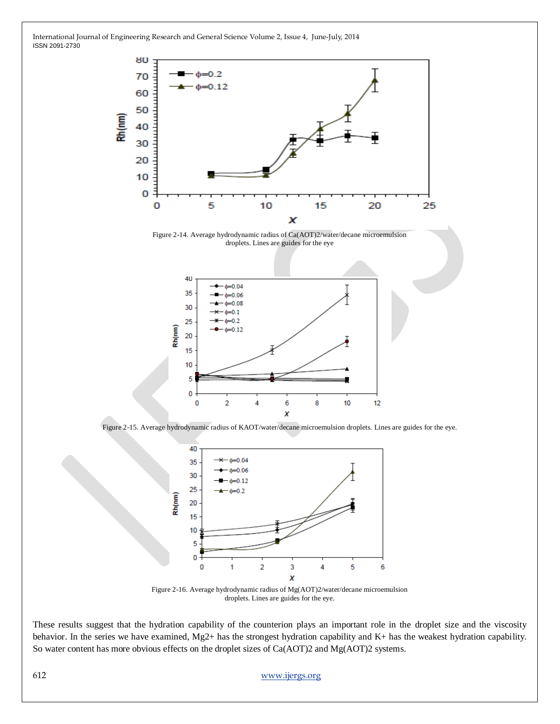

Figure 2-14. Average hydrodynamic radius of Ca(AOT)2/water/decane microemulsion droplets. Lines are guides for the eye



Figure 2-15. Average hydrodynamic radius of KAOT/water/decane microemulsion droplets. Lines are guides for the eye.



Figure 2-16. Average hydrodynamic radius of Mg(AOT)2/water/decane microemulsion droplets. Lines are guides for the eye.

These results suggest that the hydration capability of the counterion plays an important role in the droplet size and the viscosity behavior. In the series we have examined, Mg2+ has the strongest hydration capability and K+ has the weakest hydration capability. So water content has more obvious effects on the droplet sizes of Ca(AOT)2 and Mg(AOT)2 systems.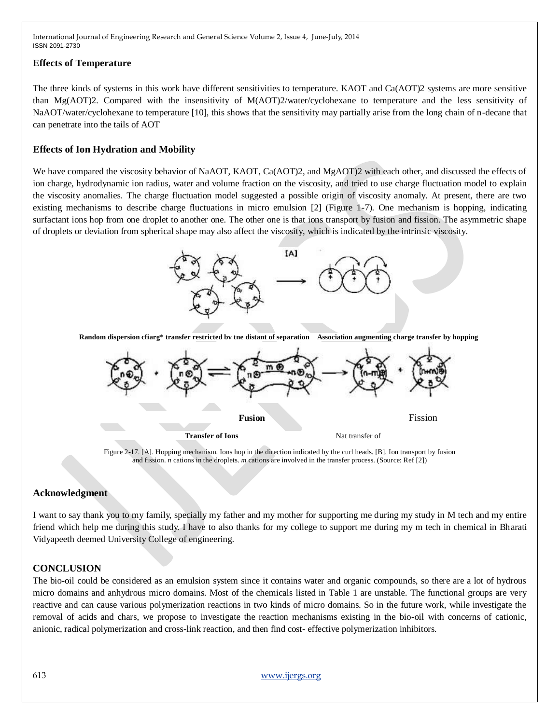#### **Effects of Temperature**

The three kinds of systems in this work have different sensitivities to temperature. KAOT and Ca(AOT)2 systems are more sensitive than Mg(AOT)2. Compared with the insensitivity of M(AOT)2/water/cyclohexane to temperature and the less sensitivity of NaAOT/water/cyclohexane to temperature [10], this shows that the sensitivity may partially arise from the long chain of n-decane that can penetrate into the tails of AOT

## **Effects of Ion Hydration and Mobility**

We have compared the viscosity behavior of NaAOT, KAOT, Ca(AOT)2, and MgAOT)2 with each other, and discussed the effects of ion charge, hydrodynamic ion radius, water and volume fraction on the viscosity, and tried to use charge fluctuation model to explain the viscosity anomalies. The charge fluctuation model suggested a possible origin of viscosity anomaly. At present, there are two existing mechanisms to describe charge fluctuations in micro emulsion [2] (Figure 1-7). One mechanism is hopping, indicating surfactant ions hop from one droplet to another one. The other one is that ions transport by fusion and fission. The asymmetric shape of droplets or deviation from spherical shape may also affect the viscosity, which is indicated by the intrinsic viscosity.



Figure 2-17. [A]. Hopping mechanism. Ions hop in the direction indicated by the curl heads. [B]. Ion transport by fusion and fission. *n* cations in the droplets. *m* cations are involved in the transfer process. (Source: Ref [2])

## **Acknowledgment**

I want to say thank you to my family, specially my father and my mother for supporting me during my study in M tech and my entire friend which help me during this study. I have to also thanks for my college to support me during my m tech in chemical in Bharati Vidyapeeth deemed University College of engineering.

# **CONCLUSION**

The bio-oil could be considered as an emulsion system since it contains water and organic compounds, so there are a lot of hydrous micro domains and anhydrous micro domains. Most of the chemicals listed in Table 1 are unstable. The functional groups are very reactive and can cause various polymerization reactions in two kinds of micro domains. So in the future work, while investigate the removal of acids and chars, we propose to investigate the reaction mechanisms existing in the bio-oil with concerns of cationic, anionic, radical polymerization and cross-link reaction, and then find cost- effective polymerization inhibitors.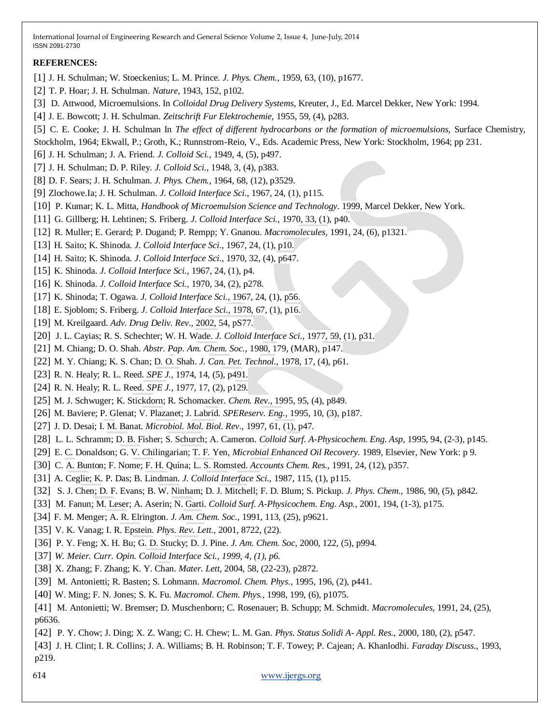## **REFERENCES:**

- [1] J. H. Schulman; W. Stoeckenius; L. M. Prince. *J. Phys. Chem.,* 1959, 63, (10), p1677.
- [2] T. P. Hoar; J. H. Schulman. *Nature,* 1943, 152, p102.
- [3] D. Attwood, Microemulsions. In *Colloidal Drug Delivery Systems,* Kreuter, J., Ed. Marcel Dekker, New York: 1994.
- [4] J. E. Bowcott; J. H. Schulman. *Zeitschrift Fur Elektrochemie,* 1955, 59, (4), p283.
- [5] C. E. Cooke; J. H. Schulman In *The effect of different hydrocarbons or the formation of microemulsions,* Surface Chemistry,
- Stockholm, 1964; Ekwall, P.; Groth, K.; Runnstrom-Reio, V., Eds. Academic Press, New York: Stockholm, 1964; pp 231.
- [6] J. H. Schulman; J. A. Friend. *J. Colloid Sci.,* 1949, 4, (5), p497.
- [7] J. H. Schulman; D. P. Riley. *J. Colloid Sci.,* 1948, 3, (4), p383.
- [8] D. F. Sears; J. H. Schulman. *J. Phys. Chem.,* 1964, 68, (12), p3529.
- [9] Zlochowe.Ia; J. H. Schulman. *J. Colloid Interface Sci.,* 1967, 24, (1), p115.
- [10] P. Kumar; K. L. Mitta, *Handbook of Microemulsion Science and Technology.* 1999, Marcel Dekker, New York.
- [11] G. Gillberg; H. Lehtinen; S. Friberg. *J. Colloid Interface Sci.,* 1970, 33, (1), p40.
- [12] R. Muller; E. Gerard; P. Dugand; P. Rempp; Y. Gnanou. *Macromolecules,* 1991, 24, (6), p1321.
- [13] H. Saito; K. Shinoda. *J. Colloid Interface Sci.,* 1967, 24, (1), p10.
- [14] H. Saito; K. Shinoda. *J. Colloid Interface Sci.,* 1970, 32, (4), p647.
- [15] K. Shinoda. *J. Colloid Interface Sci.,* 1967, 24, (1), p4.
- [16] K. Shinoda. *J. Colloid Interface Sci.,* 1970, 34, (2), p278.
- [17] K. Shinoda; T. Ogawa. *J. Colloid Interface Sci.,* 1967, 24, (1), p56.
- [18] E. Sjoblom; S. Friberg. *J. Colloid Interface Sci.,* 1978, 67, (1), p16.
- [19] M. Kreilgaard. *Adv. Drug Deliv. Rev.,* 2002, 54, pS77.
- [20] J. L. Cayias; R. S. Schechter; W. H. Wade. *J. Colloid Interface Sci.,* 1977, 59, (1), p31.
- [21] M. Chiang; D. O. Shah. *Abstr. Pap. Am. Chem. Soc.,* 1980, 179, (MAR), p147.
- [22] M. Y. Chiang; K. S. Chan; D. O. Shah. *J. Can. Pet. Technol.,* 1978, 17, (4), p61.
- [23] R. N. Healy; R. L. Reed. *SPE J.,* 1974, 14, (5), p491.
- [24] R. N. Healy; R. L. Reed. *SPE J.,* 1977, 17, (2), p129.
- [25] M. J. Schwuger; K. Stickdorn; R. Schomacker. *Chem. Rev.,* 1995, 95, (4), p849.
- [26] M. Baviere; P. Glenat; V. Plazanet; J. Labrid. *SPEReserv. Eng.,* 1995, 10, (3), p187.
- [27] J. D. Desai; I. M. Banat. *Microbiol. Mol. Biol. Rev.,* 1997, 61, (1), p47.
- [28] L. L. Schramm; D. B. Fisher; S. Schurch; A. Cameron. *Colloid Surf. A-Physicochem. Eng. Asp,* 1995, 94, (2-3), p145.
- [29] E. C. Donaldson; G. V. Chilingarian; T. F. Yen, *Microbial Enhanced Oil Recovery.* 1989, Elsevier, New York: p 9.
- [30] C. A. Bunton; F. Nome; F. H. Quina; L. S. Romsted. *Accounts Chem. Res.,* 1991, 24, (12), p357.
- [31] A. Ceglie; K. P. Das; B. Lindman. *J. Colloid Interface Sci.,* 1987, 115, (1), p115.
- [32] S. J. Chen; D. F. Evans; B. W. Ninham; D. J. Mitchell; F. D. Blum; S. Pickup. *J. Phys. Chem.,* 1986, 90, (5), p842.
- [33] M. Fanun; M. Leser; A. Aserin; N. Garti. *Colloid Surf. A-Physicochem. Eng. Asp.,* 2001, 194, (1-3), p175.
- [34] F. M. Menger; A. R. Elrington. *J. Am. Chem. Soc.,* 1991, 113, (25), p9621.
- [35] V. K. Vanag; I. R. Epstein. *Phys. Rev. Lett.,* 2001, 8722, (22).
- [36] P. Y. Feng; X. H. Bu; G. D. Stucky; D. J. Pine. *J. Am. Chem. Soc,* 2000, 122, (5), p994.
- [37] *W. Meier. Curr. Opin. Colloid Interface Sci., 1999, 4, (1), p6.*
- [38] X. Zhang; F. Zhang; K. Y. Chan. *Mater. Lett,* 2004, 58, (22-23), p2872.
- [39] M. Antonietti; R. Basten; S. Lohmann. *Macromol. Chem. Phys.,* 1995, 196, (2), p441.
- [40] W. Ming; F. N. Jones; S. K. Fu. *Macromol. Chem. Phys.,* 1998, 199, (6), p1075.
- [41] M. Antonietti; W. Bremser; D. Muschenborn; C. Rosenauer; B. Schupp; M. Schmidt. *Macromolecules,* 1991, 24, (25), p6636.
- [42] P. Y. Chow; J. Ding; X. Z. Wang; C. H. Chew; L. M. Gan. *Phys. Status Solidi A- Appl. Res.,* 2000, 180, (2), p547.
- [43] J. H. Clint; I. R. Collins; J. A. Williams; B. H. Robinson; T. F. Towey; P. Cajean; A. Khanlodhi. *Faraday Discuss.,* 1993, p219.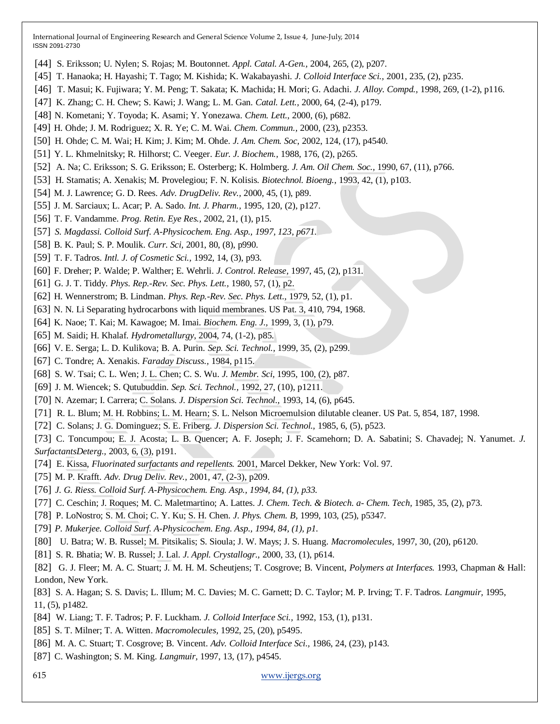- [44] S. Eriksson; U. Nylen; S. Rojas; M. Boutonnet. *Appl. Catal. A-Gen.,* 2004, 265, (2), p207.
- [45] T. Hanaoka; H. Hayashi; T. Tago; M. Kishida; K. Wakabayashi. *J. Colloid Interface Sci.,* 2001, 235, (2), p235.
- [46] T. Masui; K. Fujiwara; Y. M. Peng; T. Sakata; K. Machida; H. Mori; G. Adachi. *J. Alloy. Compd.,* 1998, 269, (1-2), p116.
- [47] K. Zhang; C. H. Chew; S. Kawi; J. Wang; L. M. Gan. *Catal. Lett.,* 2000, 64, (2-4), p179.
- [48] N. Kometani; Y. Toyoda; K. Asami; Y. Yonezawa. *Chem. Lett.,* 2000, (6), p682.
- [49] H. Ohde; J. M. Rodriguez; X. R. Ye; C. M. Wai. *Chem. Commun.,* 2000, (23), p2353.
- [50] H. Ohde; C. M. Wai; H. Kim; J. Kim; M. Ohde. *J. Am. Chem. Soc,* 2002, 124, (17), p4540.
- [51] Y. L. Khmelnitsky; R. Hilhorst; C. Veeger. *Eur. J. Biochem.,* 1988, 176, (2), p265.
- [52] A. Na; C. Eriksson; S. G. Eriksson; E. Osterberg; K. Holmberg. *J. Am. Oil Chem. Soc.,* 1990, 67, (11), p766.
- [53] H. Stamatis; A. Xenakis; M. Provelegiou; F. N. Kolisis. *Biotechnol. Bioeng.,* 1993, 42, (1), p103.
- [54] M. J. Lawrence; G. D. Rees. *Adv. DrugDeliv. Rev.,* 2000, 45, (1), p89.
- [55] J. M. Sarciaux; L. Acar; P. A. Sado. *Int. J. Pharm.,* 1995, 120, (2), p127.
- [56] T. F. Vandamme. *Prog. Retin. Eye Res.,* 2002, 21, (1), p15.
- [57] *S. Magdassi. Colloid Surf. A-Physicochem. Eng. Asp., 1997, 123, p671.*
- [58] B. K. Paul; S. P. Moulik. *Curr. Sci,* 2001, 80, (8), p990.
- [59] T. F. Tadros. *Intl. J. of Cosmetic Sci.,* 1992, 14, (3), p93.
- [60] F. Dreher; P. Walde; P. Walther; E. Wehrli. *J. Control. Release,* 1997, 45, (2), p131.
- [61] G. J. T. Tiddy. *Phys. Rep.-Rev. Sec. Phys. Lett.,* 1980, 57, (1), p2.
- [62] H. Wennerstrom; B. Lindman. *Phys. Rep.-Rev. Sec. Phys. Lett.,* 1979, 52, (1), p1.
- [63] N. N. Li Separating hydrocarbons with liquid membranes. US Pat. 3, 410, 794, 1968.
- [64] K. Naoe; T. Kai; M. Kawagoe; M. Imai. *Biochem. Eng. J.,* 1999, 3, (1), p79.
- [65] M. Saidi; H. Khalaf. *Hydrometallurgy,* 2004, 74, (1-2), p85.
- [66] V. E. Serga; L. D. Kulikova; B. A. Purin. *Sep. Sci. Technol.,* 1999, 35, (2), p299.
- [67] C. Tondre; A. Xenakis. *Faraday Discuss.,* 1984, p115.
- [68] S. W. Tsai; C. L. Wen; J. L. Chen; C. S. Wu. *J. Membr. Sci,* 1995, 100, (2), p87.
- [69] J. M. Wiencek; S. Qutubuddin. *Sep. Sci. Technol.,* 1992, 27, (10), p1211.
- [70] N. Azemar; I. Carrera; C. Solans. *J. Dispersion Sci. Technol.,* 1993, 14, (6), p645.
- [71] R. L. Blum; M. H. Robbins; L. M. Hearn; S. L. Nelson Microemulsion dilutable cleaner. US Pat. 5, 854, 187, 1998.
- [72] C. Solans; J. G. Dominguez; S. E. Friberg. *J. Dispersion Sci. Technol.,* 1985, 6, (5), p523.
- [73] C. Toncumpou; E. J. Acosta; L. B. Quencer; A. F. Joseph; J. F. Scamehorn; D. A. Sabatini; S. Chavadej; N. Yanumet. *J. SurfactantsDeterg.,* 2003, 6, (3), p191.
- [74] E. Kissa, *Fluorinated surfactants and repellents.* 2001, Marcel Dekker, New York: Vol. 97.
- [75] M. P. Krafft. *Adv. Drug Deliv. Rev.,* 2001, 47, (2-3), p209.
- [76] *J. G. Riess. Colloid Surf. A-Physicochem. Eng. Asp., 1994, 84, (1), p33.*
- [77] C. Ceschin; J. Roques; M. C. Maletmartino; A. Lattes. *J. Chem. Tech. & Biotech. a- Chem. Tech,* 1985, 35, (2), p73.
- [78] P. LoNostro; S. M. Choi; C. Y. Ku; S. H. Chen. *J. Phys. Chem. B,* 1999, 103, (25), p5347.
- [79] *P. Mukerjee. Colloid Surf. A-Physicochem. Eng. Asp., 1994, 84, (1), p1.*
- [80] U. Batra; W. B. Russel; M. Pitsikalis; S. Sioula; J. W. Mays; J. S. Huang. *Macromolecules,* 1997, 30, (20), p6120.
- [81] S. R. Bhatia; W. B. Russel; J. Lal. *J. Appl. Crystallogr.,* 2000, 33, (1), p614.

[82] G. J. Fleer; M. A. C. Stuart; J. M. H. M. Scheutjens; T. Cosgrove; B. Vincent, *Polymers at Interfaces.* 1993, Chapman & Hall: London, New York.

[83] S. A. Hagan; S. S. Davis; L. Illum; M. C. Davies; M. C. Garnett; D. C. Taylor; M. P. Irving; T. F. Tadros. *Langmuir,* 1995, 11, (5), p1482.

- [84] W. Liang; T. F. Tadros; P. F. Luckham. *J. Colloid Interface Sci.,* 1992, 153, (1), p131.
- [85] S. T. Milner; T. A. Witten. *Macromolecules,* 1992, 25, (20), p5495.
- [86] M. A. C. Stuart; T. Cosgrove; B. Vincent. *Adv. Colloid Interface Sci.,* 1986, 24, (23), p143.
- [87] C. Washington; S. M. King. *Langmuir,* 1997, 13, (17), p4545.